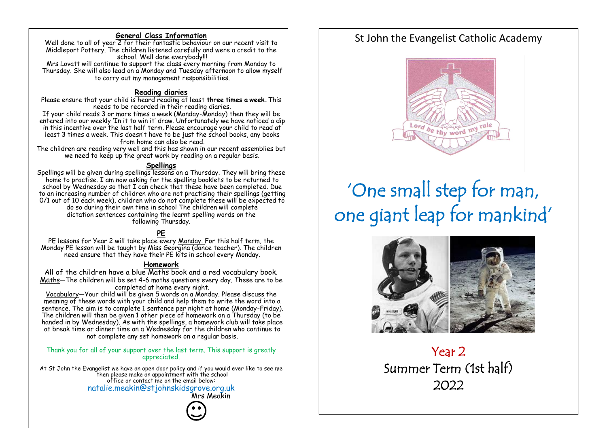#### **General Class Information**

Well done to all of year 2 for their fantastic behaviour on our recent visit to Middleport Pottery. The children listened carefully and were a credit to the school. Well done everybody!!! Mrs Lovatt will continue to support the class every morning from Monday to

Thursday. She will also lead on a Monday and Tuesday afternoon to allow myself to carry out my management responsibilities.

#### **Reading diaries**

Please ensure that your child is heard reading at least **three times a week.** This needs to be recorded in their reading diaries.

If your child reads 3 or more times a week (Monday-Monday) then they will be entered into our weekly 'In it to win it' draw. Unfortunately we have noticed a dip in this incentive over the last half term. Please encourage your child to read at least 3 times a week. This doesn't have to be just the school books, any books from home can also be read.

The children are reading very well and this has shown in our recent assemblies but we need to keep up the great work by reading on a regular basis.

#### **Spellings**

Spellings will be given during spellings lessons on a Thursday. They will bring these home to practise. I am now asking for the spelling booklets to be returned to school by Wednesday so that I can check that these have been completed. Due to an increasing number of children who are not practising their spellings (getting 0/1 out of 10 each week), children who do not complete these will be expected to do so during their own time in school The children will complete dictation sentences containing the learnt spelling words on the following Thursday.

#### **PE**

PE lessons for Year 2 will take place every Monday. For this half term, the Monday PE lesson will be taught by Miss Georgina (dance teacher). The children need ensure that they have their PE kits in school every Monday.

#### **Homework**

All of the children have a blue Maths book and a red vocabulary book. Maths—The children will be set 4-6 maths questions every day. These are to be completed at home every night.

Vocabulary—Your child will be given 5 words on a Monday. Please discuss the meaning of these words with your child and help them to write the word into a sentence. The aim is to complete 1 sentence per night at home (Monday-Friday). The children will then be given 1 other piece of homework on a Thursday (to be handed in by Wednesday). As with the spellings, a homework club will take place at break time or dinner time on a Wednesday for the children who continue to not complete any set homework on a regular basis.

Thank you for all of your support over the last term. This support is greatly appreciated.

At St John the Evangelist we have an open door policy and if you would ever like to see me then please make an appointment with the school office or contact me on the email below: natalie.meakin@stjohnskidsgrove.org.uk Mrs Meakin

# St John the Evangelist Catholic Academy



# 'One small step for man, one giant leap for mankind'



# Year 2 Summer Term (1st half) 2022